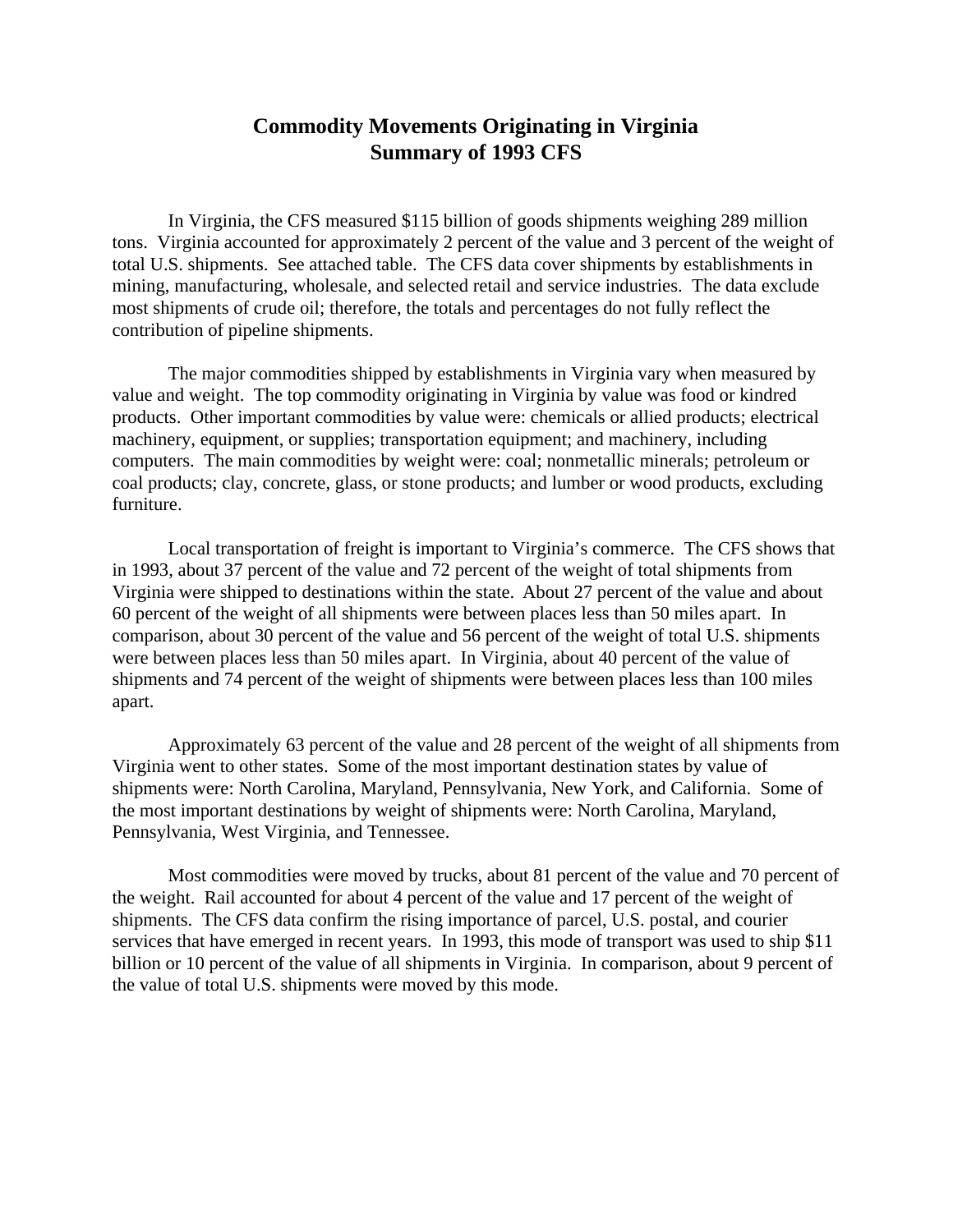## **Commodity Movements Originating in Virginia Summary of 1993 CFS**

In Virginia, the CFS measured \$115 billion of goods shipments weighing 289 million tons. Virginia accounted for approximately 2 percent of the value and 3 percent of the weight of total U.S. shipments. See attached table. The CFS data cover shipments by establishments in mining, manufacturing, wholesale, and selected retail and service industries. The data exclude most shipments of crude oil; therefore, the totals and percentages do not fully reflect the contribution of pipeline shipments.

The major commodities shipped by establishments in Virginia vary when measured by value and weight. The top commodity originating in Virginia by value was food or kindred products. Other important commodities by value were: chemicals or allied products; electrical machinery, equipment, or supplies; transportation equipment; and machinery, including computers. The main commodities by weight were: coal; nonmetallic minerals; petroleum or coal products; clay, concrete, glass, or stone products; and lumber or wood products, excluding furniture.

Local transportation of freight is important to Virginia's commerce. The CFS shows that in 1993, about 37 percent of the value and 72 percent of the weight of total shipments from Virginia were shipped to destinations within the state.About 27 percent of the value and about 60 percent of the weight of all shipments were between places less than 50 miles apart. In comparison, about 30 percent of the value and 56 percent of the weight of total U.S. shipments were between places less than 50 miles apart. In Virginia, about 40 percent of the value of shipments and 74 percent of the weight of shipments were between places less than 100 miles apart.

Approximately 63 percent of the value and 28 percent of the weight of all shipments from Virginia went to other states. Some of the most important destination states by value of shipments were: North Carolina, Maryland, Pennsylvania, New York, and California. Some of the most important destinations by weight of shipments were: North Carolina, Maryland, Pennsylvania, West Virginia, and Tennessee.

Most commodities were moved by trucks, about 81 percent of the value and 70 percent of the weight. Rail accounted for about 4 percent of the value and 17 percent of the weight of shipments. The CFS data confirm the rising importance of parcel, U.S. postal, and courier services that have emerged in recent years. In 1993, this mode of transport was used to ship \$11 billion or 10 percent of the value of all shipments in Virginia. In comparison, about 9 percent of the value of total U.S. shipments were moved by this mode.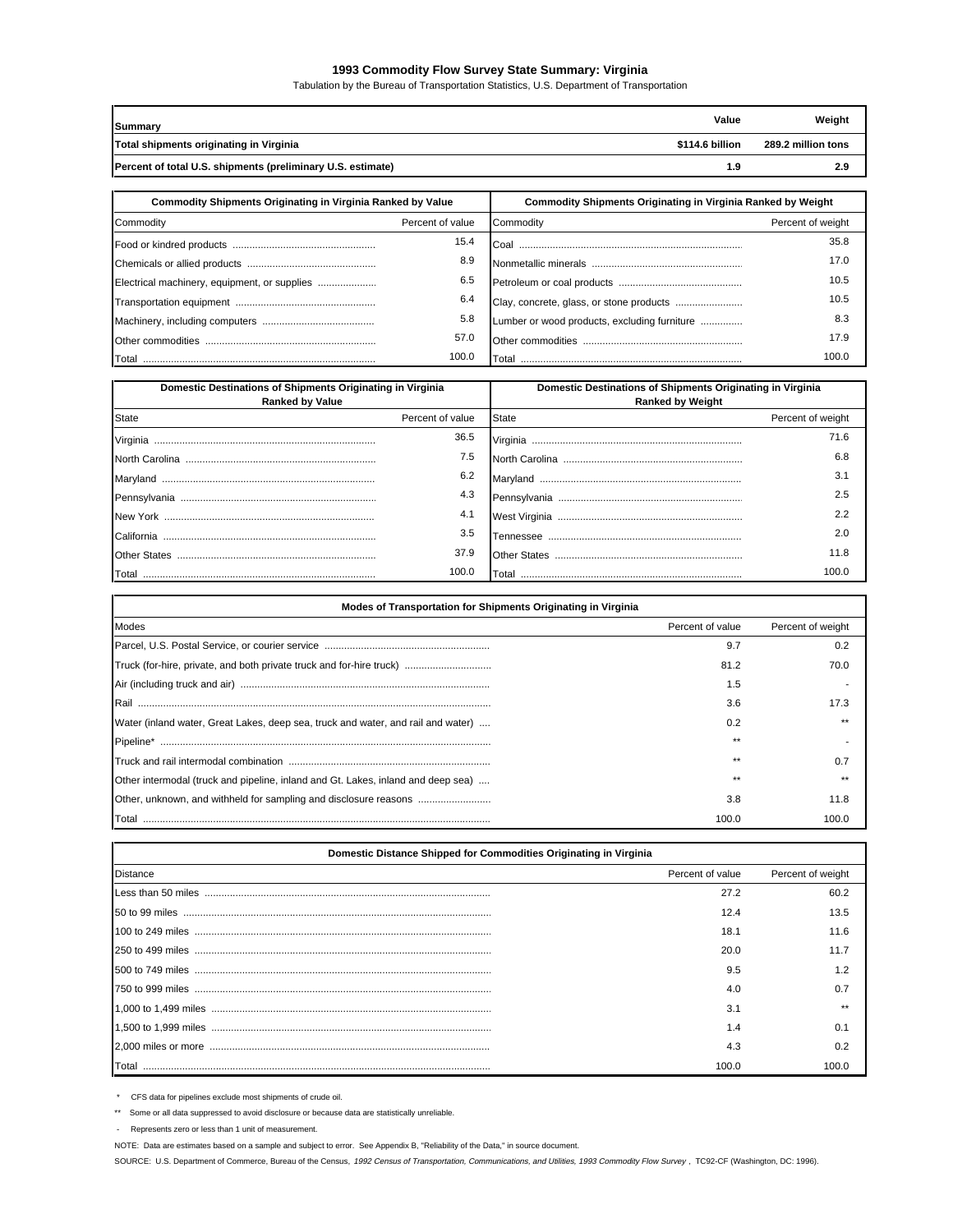## **1993 Commodity Flow Survey State Summary: Virginia**

Tabulation by the Bureau of Transportation Statistics, U.S. Department of Transportation

| Summary                                                     | Value           | Weight             |
|-------------------------------------------------------------|-----------------|--------------------|
| Total shipments originating in Virginia                     | \$114.6 billion | 289.2 million tons |
| Percent of total U.S. shipments (preliminary U.S. estimate) | 1.9             | 2.9                |

| <b>Commodity Shipments Originating in Virginia Ranked by Value</b> |                  | <b>Commodity Shipments Originating in Virginia Ranked by Weight</b> |                   |
|--------------------------------------------------------------------|------------------|---------------------------------------------------------------------|-------------------|
| Commodity                                                          | Percent of value | Commodity                                                           | Percent of weight |
|                                                                    | 15.4             |                                                                     | 35.8              |
|                                                                    | 8.9              |                                                                     | 17.0              |
| Electrical machinery, equipment, or supplies                       | 6.5              |                                                                     | 10.5              |
|                                                                    | 6.4              |                                                                     | 10.5              |
|                                                                    | 5.8              | Lumber or wood products, excluding furniture                        | 8.3               |
|                                                                    | 57.0             |                                                                     | 17.9              |
|                                                                    | 100.0            |                                                                     | 100.0             |

| Domestic Destinations of Shipments Originating in Virginia<br><b>Ranked by Value</b> |                  | Domestic Destinations of Shipments Originating in Virginia<br><b>Ranked by Weight</b> |                   |
|--------------------------------------------------------------------------------------|------------------|---------------------------------------------------------------------------------------|-------------------|
| <b>State</b>                                                                         | Percent of value | <b>State</b>                                                                          | Percent of weight |
| Virginia                                                                             | 36.5             | Virginia                                                                              | 71.6              |
|                                                                                      | 7.5              |                                                                                       | 6.8               |
| Marvland                                                                             | 6.2              |                                                                                       | 3.1               |
|                                                                                      | 4.3              |                                                                                       | 2.5               |
| New York                                                                             | 4.1              | West Virginia                                                                         | 2.2               |
| California                                                                           | 3.5              |                                                                                       | 2.0               |
|                                                                                      | 37.9             |                                                                                       | 11.8              |
|                                                                                      | 100.0            | l otal                                                                                | 100 0             |

| Modes of Transportation for Shipments Originating in Virginia                    |                  |                   |  |  |
|----------------------------------------------------------------------------------|------------------|-------------------|--|--|
| Modes                                                                            | Percent of value | Percent of weight |  |  |
|                                                                                  | 9.7              | 0.2               |  |  |
| Truck (for-hire, private, and both private truck and for-hire truck)             | 81.2             | 70.0              |  |  |
|                                                                                  | 1.5              |                   |  |  |
| l Rail                                                                           | 3.6              | 17.3              |  |  |
| Water (inland water, Great Lakes, deep sea, truck and water, and rail and water) | 0.2              |                   |  |  |
| Pipeline*                                                                        | **               |                   |  |  |
|                                                                                  | **               | 0.7               |  |  |
| Other intermodal (truck and pipeline, inland and Gt. Lakes, inland and deep sea) | **               |                   |  |  |
|                                                                                  | 3.8              | 11.8              |  |  |
|                                                                                  | 100.0            | 100.0             |  |  |

| Domestic Distance Shipped for Commodities Originating in Virginia |                  |                   |  |
|-------------------------------------------------------------------|------------------|-------------------|--|
| <b>Distance</b>                                                   | Percent of value | Percent of weight |  |
|                                                                   | 27.2             | 60.2              |  |
|                                                                   | 12.4             | 13.5              |  |
|                                                                   | 18.1             | 11.6              |  |
|                                                                   | 20.0             | 11.7              |  |
|                                                                   | 9.5              | 1.2               |  |
|                                                                   | 4.0              | 0.7               |  |
|                                                                   | 3.1              |                   |  |
|                                                                   | 1.4              | 0.1               |  |
|                                                                   | 4.3              | 0.2               |  |
| Total                                                             | 100.0            |                   |  |

\* CFS data for pipelines exclude most shipments of crude oil.

\*\* Some or all data suppressed to avoid disclosure or because data are statistically unreliable.

- Represents zero or less than 1 unit of measurement.

NOTE: Data are estimates based on a sample and subject to error. See Appendix B, "Reliability of the Data," in source document.

SOURCE: U.S. Department of Commerce, Bureau of the Census, 1992 Census of Transportation, Communications, and Utilities, 1993 Commodity Flow Survey , TC92-CF (Washington, DC: 1996).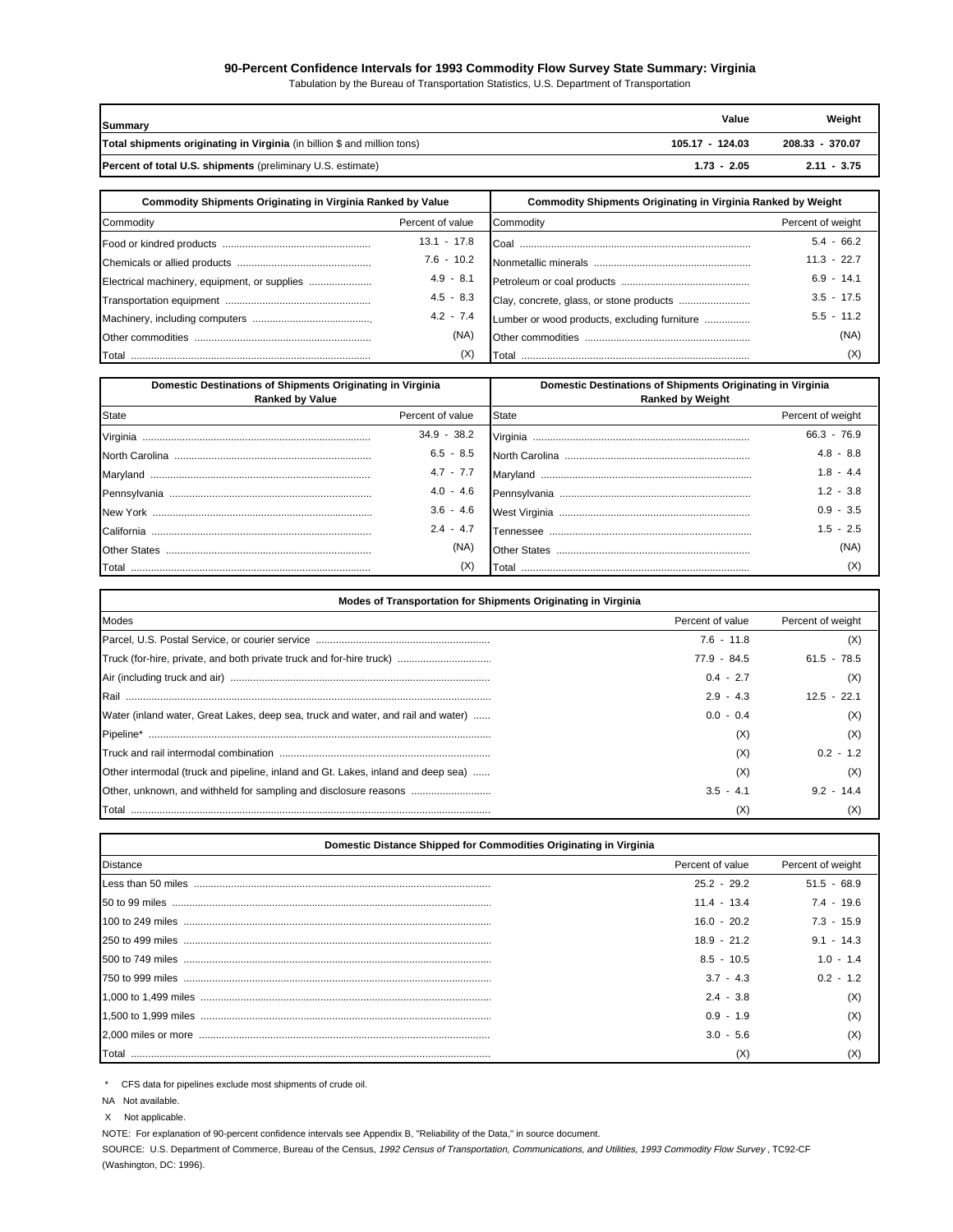## **90-Percent Confidence Intervals for 1993 Commodity Flow Survey State Summary: Virginia**

Tabulation by the Bureau of Transportation Statistics, U.S. Department of Transportation

| Summary                                                                  | Value           | Weight          |
|--------------------------------------------------------------------------|-----------------|-----------------|
| Total shipments originating in Virginia (in billion \$ and million tons) | 105.17 - 124.03 | 208.33 - 370.07 |
| <b>Percent of total U.S. shipments</b> (preliminary U.S. estimate)       | $1.73 - 2.05$   | $2.11 - 3.75$   |

| <b>Commodity Shipments Originating in Virginia Ranked by Value</b> |                  | <b>Commodity Shipments Originating in Virginia Ranked by Weight</b> |                   |
|--------------------------------------------------------------------|------------------|---------------------------------------------------------------------|-------------------|
| Commodity                                                          | Percent of value | Commodity                                                           | Percent of weight |
|                                                                    | $13.1 - 17.8$    |                                                                     | $5.4 - 66.2$      |
|                                                                    | $7.6 - 10.2$     |                                                                     | $11.3 - 22.7$     |
| Electrical machinery, equipment, or supplies                       | $4.9 - 8.1$      |                                                                     | $6.9 - 14.1$      |
|                                                                    | $4.5 - 8.3$      |                                                                     | $3.5 - 17.5$      |
|                                                                    | $4.2 - 7.4$      | Lumber or wood products, excluding furniture                        | $5.5 - 11.2$      |
|                                                                    | (NA)             |                                                                     | (NA)              |
|                                                                    | (X)              |                                                                     | (X)               |

| Domestic Destinations of Shipments Originating in Virginia<br><b>Ranked by Value</b> |                  | Domestic Destinations of Shipments Originating in Virginia<br><b>Ranked by Weight</b> |                   |
|--------------------------------------------------------------------------------------|------------------|---------------------------------------------------------------------------------------|-------------------|
| <b>State</b>                                                                         | Percent of value | State                                                                                 | Percent of weight |
|                                                                                      | $34.9 - 38.2$    |                                                                                       | $66.3 - 76.9$     |
|                                                                                      | $6.5 - 8.5$      |                                                                                       | $4.8 - 8.8$       |
|                                                                                      | $4.7 - 7.7$      |                                                                                       | 18-44             |
| Pennsylvania                                                                         | $4.0 - 4.6$      |                                                                                       | $1.2 - 3.8$       |
|                                                                                      | $3.6 - 4.6$      |                                                                                       | $0.9 - 3.5$       |
| California                                                                           | $2.4 - 4.7$      |                                                                                       | $1.5 - 2.5$       |
| <b>Other States</b>                                                                  | (NA)             |                                                                                       | (NA)              |
|                                                                                      | (X)              | <u>rotal ………………………………………………………………………</u>                                              | (X                |

| Modes of Transportation for Shipments Originating in Virginia                    |                  |                   |  |
|----------------------------------------------------------------------------------|------------------|-------------------|--|
| Modes                                                                            | Percent of value | Percent of weight |  |
|                                                                                  | $7.6 - 11.8$     | (X)               |  |
|                                                                                  | $77.9 - 84.5$    | $61.5 - 78.5$     |  |
|                                                                                  | $0.4 - 2.7$      | (X                |  |
| Rail                                                                             | $2.9 - 4.3$      | $12.5 - 22.1$     |  |
| Water (inland water, Great Lakes, deep sea, truck and water, and rail and water) | $0.0 - 0.4$      |                   |  |
| Pipeline*                                                                        | (X)              | (X                |  |
|                                                                                  | (X)              | $0.2 - 1.2$       |  |
| Other intermodal (truck and pipeline, inland and Gt. Lakes, inland and deep sea) | (X)              | (X                |  |
|                                                                                  | $3.5 - 4.1$      | $9.2 - 14.4$      |  |
|                                                                                  | (X)              |                   |  |

| Domestic Distance Shipped for Commodities Originating in Virginia |                  |                   |  |  |
|-------------------------------------------------------------------|------------------|-------------------|--|--|
| <b>Distance</b>                                                   | Percent of value | Percent of weight |  |  |
|                                                                   | $25.2 - 29.2$    | $51.5 - 68.9$     |  |  |
|                                                                   | $11.4 - 13.4$    | $7.4 - 19.6$      |  |  |
|                                                                   | $16.0 - 20.2$    | $7.3 - 15.9$      |  |  |
|                                                                   | $18.9 - 21.2$    | $9.1 - 14.3$      |  |  |
|                                                                   | $8.5 - 10.5$     | $1.0 - 1.4$       |  |  |
|                                                                   | $3.7 - 4.3$      | $02 - 12$         |  |  |
|                                                                   | $2.4 - 3.8$      | (X                |  |  |
|                                                                   | $0.9 - 1.9$      |                   |  |  |
|                                                                   | $3.0 - 5.6$      |                   |  |  |
| Total                                                             | (X)              |                   |  |  |

\* CFS data for pipelines exclude most shipments of crude oil.

NA Not available.

X Not applicable.

NOTE: For explanation of 90-percent confidence intervals see Appendix B, "Reliability of the Data," in source document.

SOURCE: U.S. Department of Commerce, Bureau of the Census, 1992 Census of Transportation, Communications, and Utilities, 1993 Commodity Flow Survey, TC92-CF (Washington, DC: 1996).